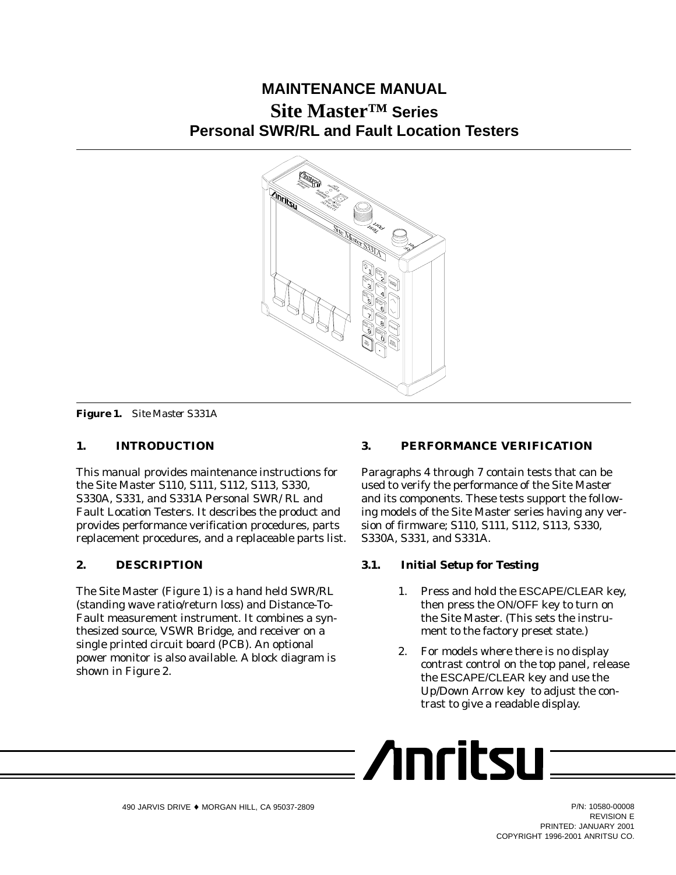# **MAINTENANCE MANUAL Site Master™ Series Personal SWR/RL and Fault Location Testers**



*Figure 1. Site Master S331A*

# **1. INTRODUCTION**

This manual provides maintenance instructions for the Site Master S110, S111, S112, S113, S330, S330A, S331, and S331A Personal SWR/ RL and Fault Location Testers. It describes the product and provides performance verification procedures, parts replacement procedures, and a replaceable parts list.

# **2. DESCRIPTION**

The Site Master (Figure 1) is a hand held SWR/RL (standing wave ratio/return loss) and Distance-To-Fault measurement instrument. It combines a synthesized source, VSWR Bridge, and receiver on a single printed circuit board (PCB). An optional power monitor is also available. A block diagram is shown in Figure 2.

# **3. PERFORMANCE VERIFICATION**

Paragraphs 4 through 7 contain tests that can be used to verify the performance of the Site Master and its components. These tests support the following models of the Site Master series having any version of firmware; S110, S111, S112, S113, S330, S330A, S331, and S331A.

# **3.1. Initial Setup for Testing**

- 1. Press and hold the ESCAPE/CLEAR key, then press the ON/OFF key to turn on the Site Master. (This sets the instrument to the factory preset state.)
- 2. For models where there is no display contrast control on the top panel, release the ESCAPE/CLEAR key and use the Up/Down Arrow key to adjust the contrast to give a readable display.

$$
\equiv \textbf{Anritsu} \equiv
$$

REVISION E PRINTED: JANUARY 2001 COPYRIGHT 1996-2001 ANRITSU CO.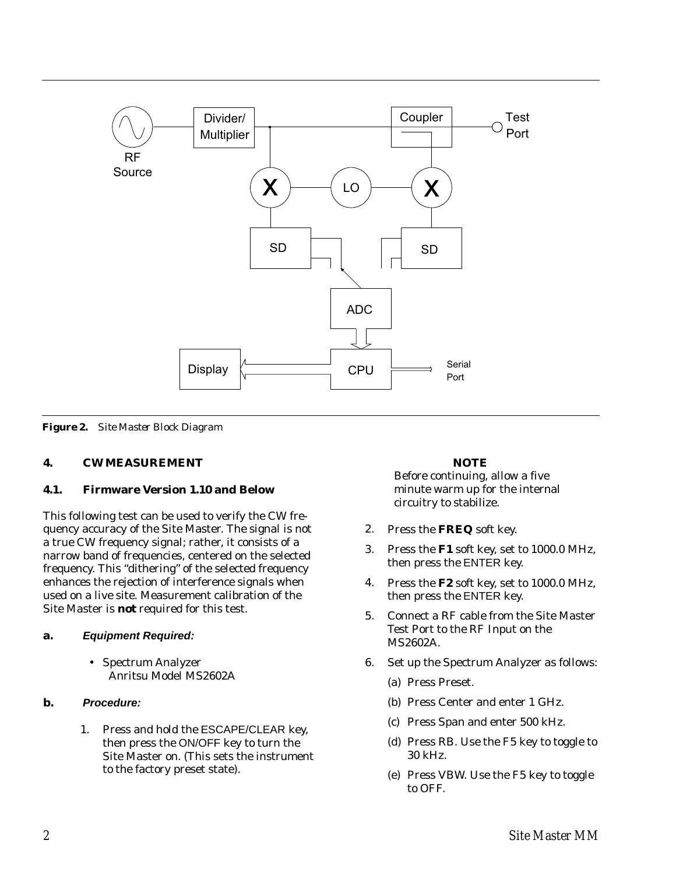

*Figure 2. Site Master Block Diagram*

# **4. CW MEASUREMENT**

### **4.1. Firmware Version 1.10 and Below**

This following test can be used to verify the CW frequency accuracy of the Site Master. The signal is not a true CW frequency signal; rather, it consists of a narrow band of frequencies, centered on the selected frequency. This "dithering" of the selected frequency enhances the rejection of interference signals when used on a live site. Measurement calibration of the Site Master is *not* required for this test.

### **a. Equipment Required:**

- Spectrum Analyzer Anritsu Model MS2602A

# **b. Procedure:**

1. Press and hold the ESCAPE/CLEAR key, then press the ON/OFF key to turn the Site Master on. (This sets the instrument to the factory preset state).

### *NOTE*

Before continuing, allow a five minute warm up for the internal circuitry to stabilize.

- 2. Press the **FREQ** soft key.
- 3. Press the **F1** soft key, set to 1000.0 MHz, then press the ENTER key.
- 4. Press the **F2** soft key, set to 1000.0 MHz, then press the ENTER key.
- 5. Connect a RF cable from the Site Master Test Port to the RF Input on the MS2602A.
- 6. Set up the Spectrum Analyzer as follows:
	- (a) Press Preset.
	- (b) Press Center and enter 1 GHz.
	- (c) Press Span and enter 500 kHz.
	- (d) Press RB. Use the F5 key to toggle to 30 kHz.
	- (e) Press VBW. Use the F5 key to toggle to OFF.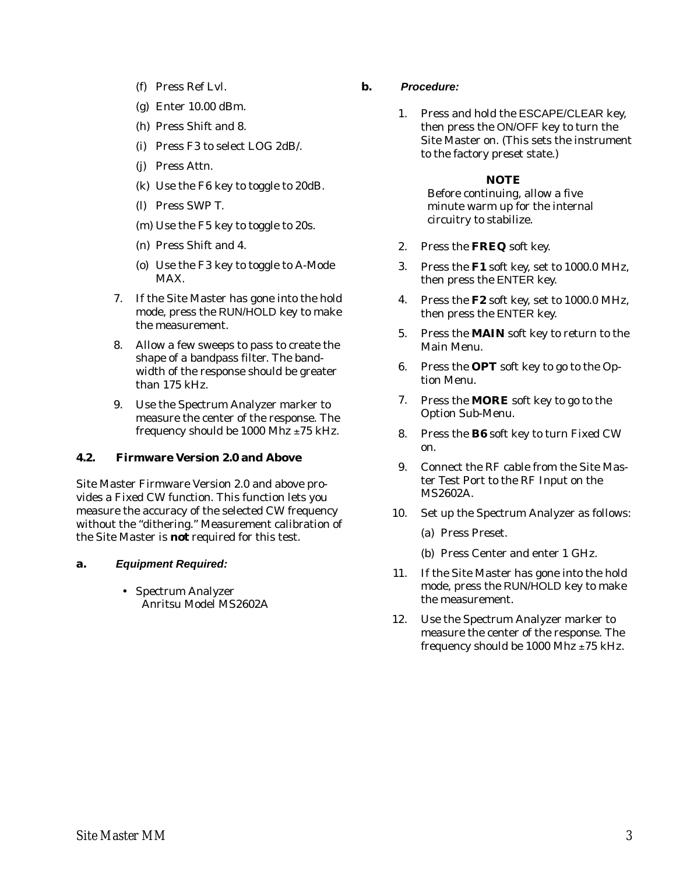- (f) Press Ref Lvl.
- (g) Enter 10.00 dBm.
- (h) Press Shift and 8.
- (i) Press F3 to select LOG 2dB/.
- (j) Press Attn.
- (k) Use the F6 key to toggle to 20dB.
- (l) Press SWP T.
- (m) Use the F5 key to toggle to 20s.
- (n) Press Shift and 4.
- (o) Use the F3 key to toggle to A-Mode MAX.
- 7. If the Site Master has gone into the hold mode, press the RUN/HOLD key to make the measurement.
- 8. Allow a few sweeps to pass to create the shape of a bandpass filter. The bandwidth of the response should be greater than 175 kHz.
- 9. Use the Spectrum Analyzer marker to measure the center of the response. The frequency should be 1000 Mhz  $\pm 75$  kHz.

# **4.2. Firmware Version 2.0 and Above**

Site Master Firmware Version 2.0 and above provides a Fixed CW function. This function lets you measure the accuracy of the selected CW frequency without the "dithering." Measurement calibration of the Site Master is *not* required for this test.

### **a. Equipment Required:**

- Spectrum Analyzer Anritsu Model MS2602A

- **b. Procedure:**
	- 1. Press and hold the ESCAPE/CLEAR key, then press the ON/OFF key to turn the Site Master on. (This sets the instrument to the factory preset state.)

### *NOTE*

Before continuing, allow a five minute warm up for the internal circuitry to stabilize.

- 2. Press the **FREQ** soft key.
- 3. Press the **F1** soft key, set to 1000.0 MHz, then press the ENTER key.
- 4. Press the **F2** soft key, set to 1000.0 MHz, then press the ENTER key.
- 5. Press the **MAIN** soft key to return to the Main Menu.
- 6. Press the **OPT** soft key to go to the Option Menu.
- 7. Press the **MORE** soft key to go to the Option Sub-Menu.
- 8. Press the **B6** soft key to turn Fixed CW on.
- 9. Connect the RF cable from the Site Master Test Port to the RF Input on the MS2602A.
- 10. Set up the Spectrum Analyzer as follows:
	- (a) Press Preset.
	- (b) Press Center and enter 1 GHz.
- 11. If the Site Master has gone into the hold mode, press the RUN/HOLD key to make the measurement.
- 12. Use the Spectrum Analyzer marker to measure the center of the response. The frequency should be 1000 Mhz  $\pm$ 75 kHz.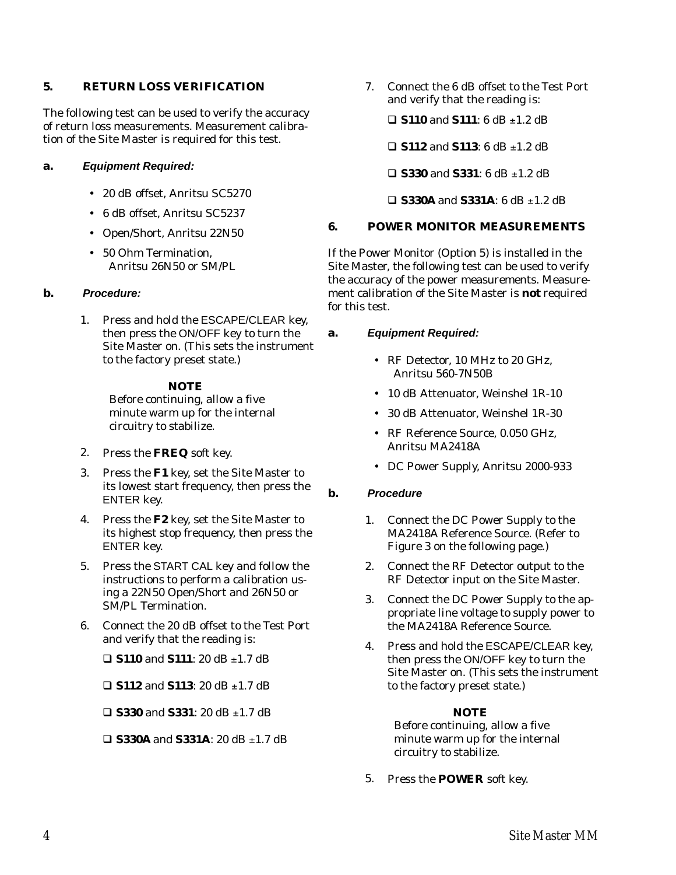### **5. RETURN LOSS VERIFICATION**

The following test can be used to verify the accuracy of return loss measurements. Measurement calibration of the Site Master is required for this test.

### **a. Equipment Required:**

- 20 dB offset, Anritsu SC5270
- 6 dB offset, Anritsu SC5237
- Open/Short, Anritsu 22N50
- 50 Ohm Termination, Anritsu 26N50 or SM/PL

### **b. Procedure:**

1. Press and hold the ESCAPE/CLEAR key, then press the ON/OFF key to turn the Site Master on. (This sets the instrument to the factory preset state.)

### *NOTE*

Before continuing, allow a five minute warm up for the internal circuitry to stabilize.

- 2. Press the **FREQ** soft key.
- 3. Press the **F1** key, set the Site Master to its lowest start frequency, then press the ENTER key.
- 4. Press the **F2** key, set the Site Master to its highest stop frequency, then press the ENTER key.
- 5. Press the START CAL key and follow the instructions to perform a calibration using a 22N50 Open/Short and 26N50 or SM/PL Termination.
- 6. Connect the 20 dB offset to the Test Port and verify that the reading is:

 $\Box$  **S110** and **S111**: 20 dB  $\pm$ 1.7 dB

 $\Box$  **S112** and **S113**: 20 dB  $\pm$ 1.7 dB

 $\Box$  **S330** and **S331**: 20 dB  $\pm$ 1.7 dB

 $\Box$  **S330A** and **S331A**: 20 dB  $\pm$ 1.7 dB

7. Connect the 6 dB offset to the Test Port and verify that the reading is:

 $\Box$  **S110** and **S111**: 6 dB  $\pm$ 1.2 dB

 $\Box$  **S112** and **S113**: 6 dB  $\pm$ 1.2 dB

 $\Box$  **S330** and **S331**: 6 dB  $\pm$ 1.2 dB

 $\Box$  **S330A** and **S331A**: 6 dB  $\pm$ 1.2 dB

### **6. POWER MONITOR MEASUREMENTS**

If the Power Monitor (Option 5) is installed in the Site Master, the following test can be used to verify the accuracy of the power measurements. Measurement calibration of the Site Master is *not* required for this test.

### **a. Equipment Required:**

- RF Detector, 10 MHz to 20 GHz, Anritsu 560-7N50B
- 10 dB Attenuator, Weinshel 1R-10
- 30 dB Attenuator, Weinshel 1R-30
- RF Reference Source, 0.050 GHz, Anritsu MA2418A
- DC Power Supply, Anritsu 2000-933

### **b. Procedure**

- 1. Connect the DC Power Supply to the MA2418A Reference Source. (Refer to Figure 3 on the following page.)
- 2. Connect the RF Detector output to the RF Detector input on the Site Master.
- 3. Connect the DC Power Supply to the appropriate line voltage to supply power to the MA2418A Reference Source.
- 4. Press and hold the ESCAPE/CLEAR key, then press the ON/OFF key to turn the Site Master on. (This sets the instrument to the factory preset state.)

### *NOTE*

Before continuing, allow a five minute warm up for the internal circuitry to stabilize.

5. Press the **POWER** soft key.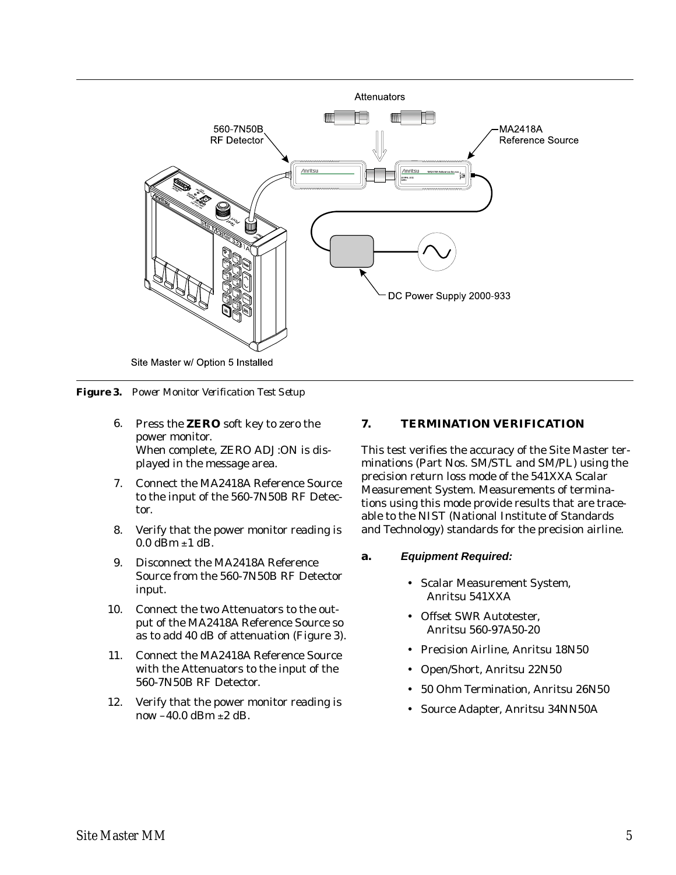

*Figure 3. Power Monitor Verification Test Setup*

- 6. Press the **ZERO** soft key to zero the power monitor. When complete, ZERO ADJ:ON is displayed in the message area.
- 7. Connect the MA2418A Reference Source to the input of the 560-7N50B RF Detector.
- 8. Verify that the power monitor reading is  $0.0$  dBm  $\pm 1$  dB.
- 9. Disconnect the MA2418A Reference Source from the 560-7N50B RF Detector input.
- 10. Connect the two Attenuators to the output of the MA2418A Reference Source so as to add 40 dB of attenuation (Figure 3).
- 11. Connect the MA2418A Reference Source with the Attenuators to the input of the 560-7N50B RF Detector.
- 12. Verify that the power monitor reading is now  $-40.0$  dBm  $\pm 2$  dB.

### **7. TERMINATION VERIFICATION**

This test verifies the accuracy of the Site Master terminations (Part Nos. SM/STL and SM/PL) using the precision return loss mode of the 541XXA Scalar Measurement System. Measurements of terminations using this mode provide results that are traceable to the NIST (National Institute of Standards and Technology) standards for the precision airline.

### **a. Equipment Required:**

- Scalar Measurement System, Anritsu 541XXA
- Offset SWR Autotester, Anritsu 560-97A50-20
- Precision Airline, Anritsu 18N50
- $\bullet$ Open/Short, Anritsu 22N50
- -50 Ohm Termination, Anritsu 26N50
- $\bullet$ Source Adapter, Anritsu 34NN50A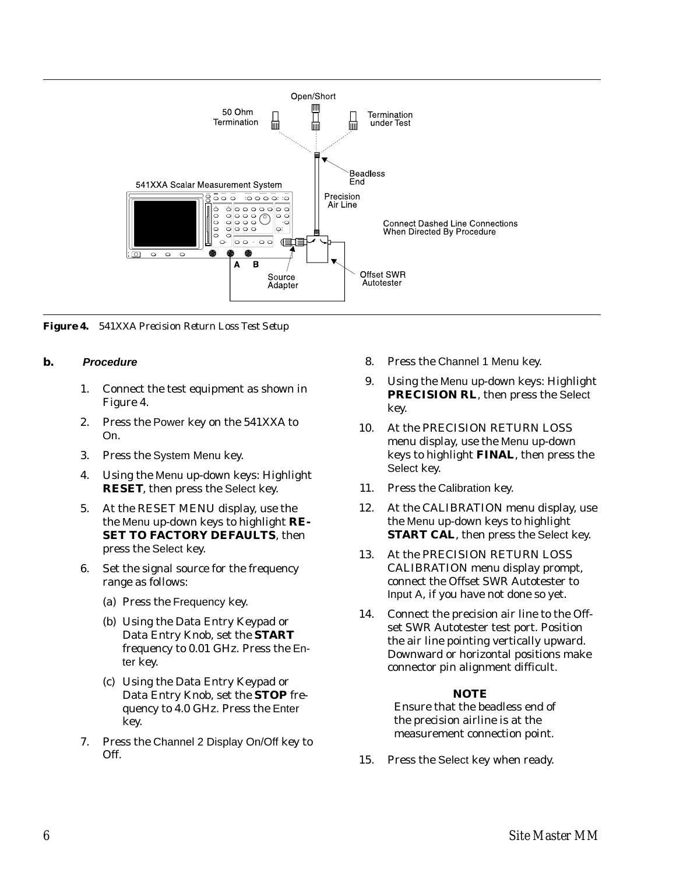

*Figure 4. 541XXA Precision Return Loss Test Setup*

### **b. Procedure**

- 1. Connect the test equipment as shown in Figure 4.
- 2. Press the Power key on the 541XXA to On.
- 3. Press the System Menu key.
- 4. Using the Menu up-down keys: Highlight **RESET**, then press the Select key.
- 5. At the RESET MENU display, use the the Menu up-down keys to highlight **RE-SET TO FACTORY DEFAULTS**, then press the Select key.
- 6. Set the signal source for the frequency range as follows:
	- (a) Press the Frequency key.
	- (b) Using the Data Entry Keypad or Data Entry Knob, set the **START** frequency to 0.01 GHz. Press the Enter key.
	- (c) Using the Data Entry Keypad or Data Entry Knob, set the **STOP** frequency to 4.0 GHz. Press the Enter key.
- 7. Press the Channel 2 Display On/Off key to Off.
- 8. Press the Channel 1 Menu key.
- 9. Using the Menu up-down keys: Highlight **PRECISION RL**, then press the Select key.
- 10. At the PRECISION RETURN LOSS menu display, use the Menu up-down keys to highlight **FINAL**, then press the Select key.
- 11. Press the Calibration key.
- 12. At the CALIBRATION menu display, use the Menu up-down keys to highlight **START CAL**, then press the Select key.
- 13. At the PRECISION RETURN LOSS CALIBRATION menu display prompt, connect the Offset SWR Autotester to Input A, if you have not done so yet.
- 14. Connect the precision air line to the Offset SWR Autotester test port. Position the air line pointing vertically upward. Downward or horizontal positions make connector pin alignment difficult.

### *NOTE*

Ensure that the beadless end of the precision airline is at the measurement connection point.

15. Press the Select key when ready.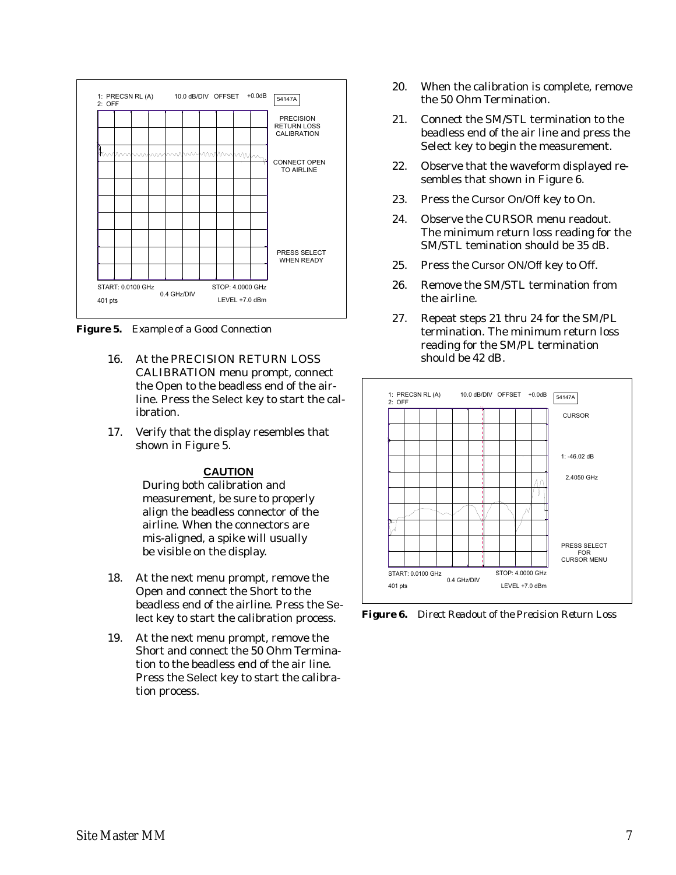

*Figure 5. Example of a Good Connection*

- 16. At the PRECISION RETURN LOSS CALIBRATION menu prompt, connect the Open to the beadless end of the airline. Press the Select key to start the calibration.
- 17. Verify that the display resembles that shown in Figure 5.

### **CAUTION**

During both calibration and measurement, be sure to properly align the beadless connector of the airline. When the connectors are mis-aligned, a spike will usually be visible on the display.

- 18. At the next menu prompt, remove the Open and connect the Short to the beadless end of the airline. Press the Select key to start the calibration process.
- 19. At the next menu prompt, remove the Short and connect the 50 Ohm Termination to the beadless end of the air line. Press the Select key to start the calibration process.
- 20. When the calibration is complete, remove the 50 Ohm Termination.
- 21. Connect the SM/STL termination to the beadless end of the air line and press the Select key to begin the measurement.
- 22. Observe that the waveform displayed resembles that shown in Figure 6.
- 23. Press the Cursor On/Off key to On.
- 24. Observe the CURSOR menu readout. The minimum return loss reading for the SM/STL temination should be 35 dB.
- 25. Press the Cursor ON/Off key to Off.
- 26. Remove the SM/STL termination from the airline.
- 27. Repeat steps 21 thru 24 for the SM/PL termination. The minimum return loss reading for the SM/PL termination should be 42 dB.



*Figure 6. Direct Readout of the Precision Return Loss*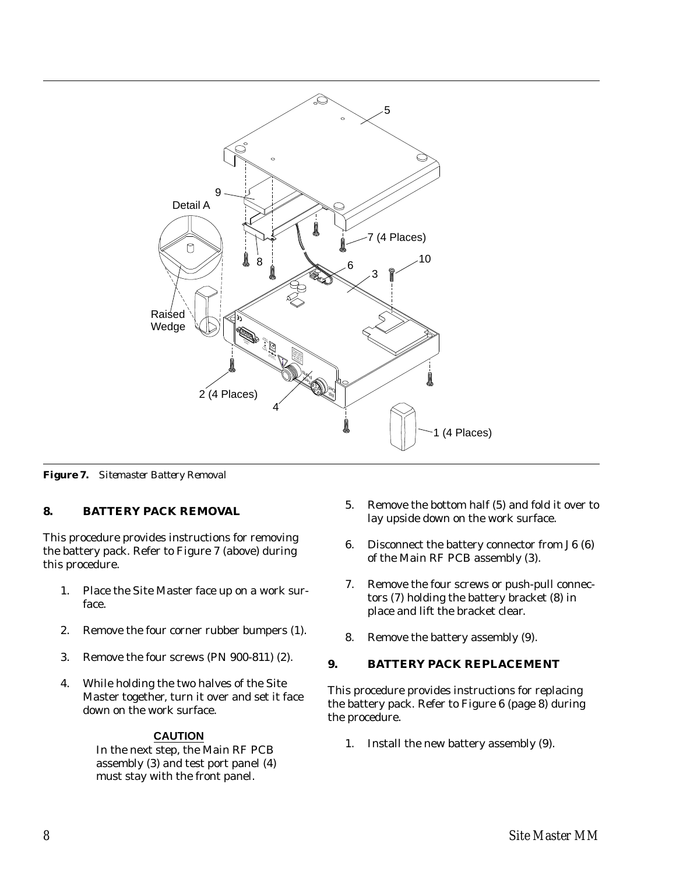

*Figure 7. Sitemaster Battery Removal*

# **8. BATTERY PACK REMOVAL**

This procedure provides instructions for removing the battery pack. Refer to Figure 7 (above) during this procedure.

- 1. Place the Site Master face up on a work surface.
- 2. Remove the four corner rubber bumpers (1).
- 3. Remove the four screws (PN 900-811) (2).
- 4. While holding the two halves of the Site Master together, turn it over and set it face down on the work surface.

# **CAUTION**

In the next step, the Main RF PCB assembly (3) and test port panel (4) must stay with the front panel.

- 5. Remove the bottom half (5) and fold it over to lay upside down on the work surface.
- 6. Disconnect the battery connector from J6 (6) of the Main RF PCB assembly (3).
- 7. Remove the four screws or push-pull connectors (7) holding the battery bracket (8) in place and lift the bracket clear.
- 8. Remove the battery assembly (9).

# **9. BATTERY PACK REPLACEMENT**

This procedure provides instructions for replacing the battery pack. Refer to Figure 6 (page 8) during the procedure.

1. Install the new battery assembly (9).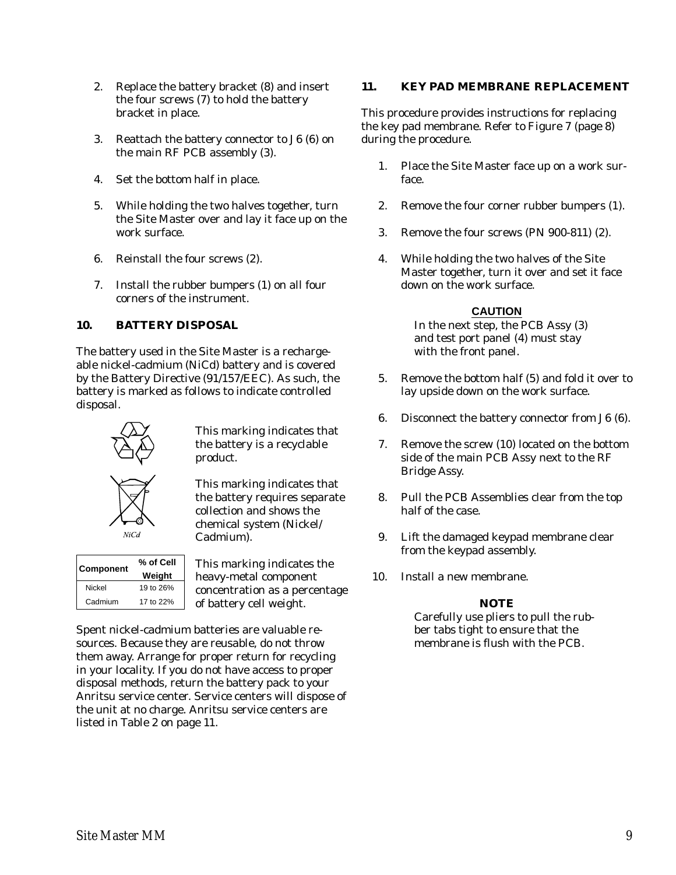- 2. Replace the battery bracket (8) and insert the four screws (7) to hold the battery bracket in place.
- 3. Reattach the battery connector to J6 (6) on the main RF PCB assembly (3).
- 4. Set the bottom half in place.
- 5. While holding the two halves together, turn the Site Master over and lay it face up on the work surface.
- 6. Reinstall the four screws (2).
- 7. Install the rubber bumpers (1) on all four corners of the instrument.

# **10. BATTERY DISPOSAL**

The battery used in the Site Master is a rechargeable nickel-cadmium (NiCd) battery and is covered by the Battery Directive (91/157/EEC). As such, the battery is marked as follows to indicate controlled disposal.



This marking indicates that the battery is a recyclable product.

This marking indicates that the battery requires separate collection and shows the chemical system (Nickel/ Cadmium).

| <b>Component</b> | % of Cell<br>Weight |
|------------------|---------------------|
| Nickel           | 19 to 26%           |
| Cadmium          | 17 to 22%           |

 $NiCa$ 

This marking indicates the heavy-metal component concentration as a percentage of battery cell weight.

Spent nickel-cadmium batteries are valuable resources. Because they are reusable, do not throw them away. Arrange for proper return for recycling in your locality. If you do not have access to proper disposal methods, return the battery pack to your Anritsu service center. Service centers will dispose of the unit at no charge. Anritsu service centers are listed in Table 2 on page 11.

# **11. KEY PAD MEMBRANE REPLACEMENT**

This procedure provides instructions for replacing the key pad membrane. Refer to Figure 7 (page 8) during the procedure.

- 1. Place the Site Master face up on a work surface.
- 2. Remove the four corner rubber bumpers (1).
- 3. Remove the four screws (PN 900-811) (2).
- 4. While holding the two halves of the Site Master together, turn it over and set it face down on the work surface.

# **CAUTION**

In the next step, the PCB Assy (3) and test port panel (4) must stay with the front panel.

- 5. Remove the bottom half (5) and fold it over to lay upside down on the work surface.
- 6. Disconnect the battery connector from J6 (6).
- 7. Remove the screw (10) located on the bottom side of the main PCB Assy next to the RF Bridge Assy.
- 8. Pull the PCB Assemblies clear from the top half of the case.
- 9. Lift the damaged keypad membrane clear from the keypad assembly.
- 10. Install a new membrane.

# *NOTE*

Carefully use pliers to pull the rubber tabs tight to ensure that the membrane is flush with the PCB.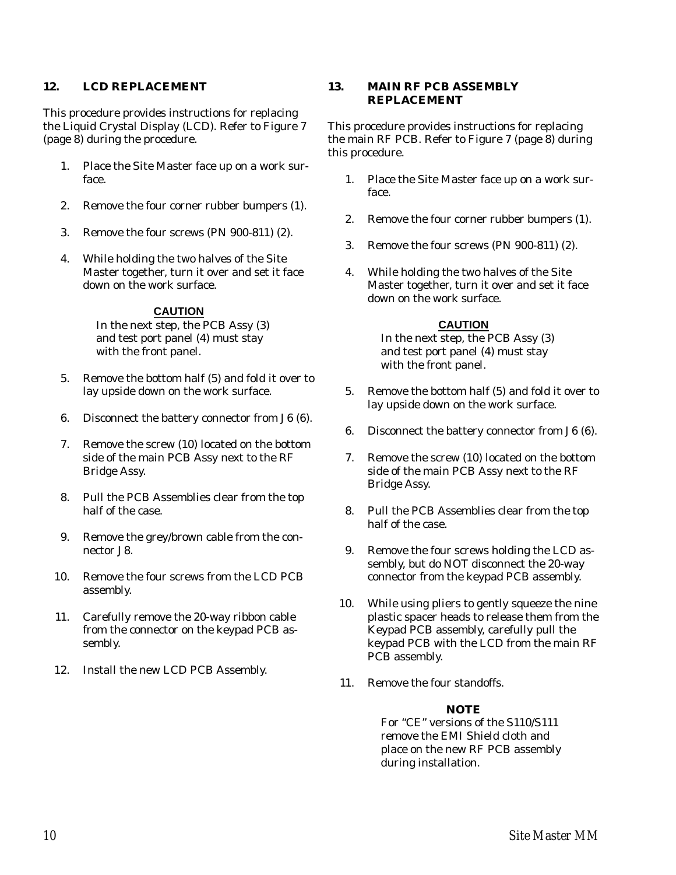### **12. LCD REPLACEMENT**

This procedure provides instructions for replacing the Liquid Crystal Display (LCD). Refer to Figure 7 (page 8) during the procedure.

- 1. Place the Site Master face up on a work surface.
- 2. Remove the four corner rubber bumpers (1).
- 3. Remove the four screws (PN 900-811) (2).
- 4. While holding the two halves of the Site Master together, turn it over and set it face down on the work surface.

### **CAUTION**

In the next step, the PCB Assy (3) and test port panel (4) must stay with the front panel.

- 5. Remove the bottom half (5) and fold it over to lay upside down on the work surface.
- 6. Disconnect the battery connector from J6 (6).
- 7. Remove the screw (10) located on the bottom side of the main PCB Assy next to the RF Bridge Assy.
- 8. Pull the PCB Assemblies clear from the top half of the case.
- 9. Remove the grey/brown cable from the connector J8.
- 10. Remove the four screws from the LCD PCB assembly.
- 11. Carefully remove the 20-way ribbon cable from the connector on the keypad PCB assembly.
- 12. Install the new LCD PCB Assembly.

# **13. MAIN RF PCB ASSEMBLY REPLACEMENT**

This procedure provides instructions for replacing the main RF PCB. Refer to Figure 7 (page 8) during this procedure.

- 1. Place the Site Master face up on a work surface.
- 2. Remove the four corner rubber bumpers (1).
- 3. Remove the four screws (PN 900-811) (2).
- 4. While holding the two halves of the Site Master together, turn it over and set it face down on the work surface.

# **CAUTION**

In the next step, the PCB Assy (3) and test port panel (4) must stay with the front panel.

- 5. Remove the bottom half (5) and fold it over to lay upside down on the work surface.
- 6. Disconnect the battery connector from J6 (6).
- 7. Remove the screw (10) located on the bottom side of the main PCB Assy next to the RF Bridge Assy.
- 8. Pull the PCB Assemblies clear from the top half of the case.
- 9. Remove the four screws holding the LCD assembly, but do NOT disconnect the 20-way connector from the keypad PCB assembly.
- 10. While using pliers to gently squeeze the nine plastic spacer heads to release them from the Keypad PCB assembly, carefully pull the keypad PCB with the LCD from the main RF PCB assembly.
- 11. Remove the four standoffs.

# *NOTE*

For "CE" versions of the S110/S111 remove the EMI Shield cloth and place on the new RF PCB assembly during installation.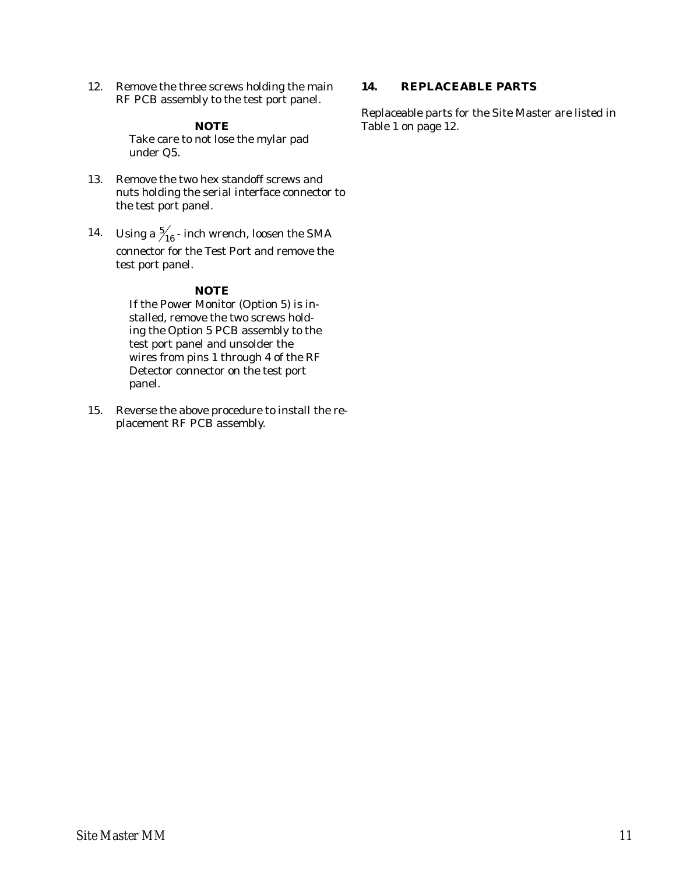12. Remove the three screws holding the main RF PCB assembly to the test port panel.

### *NOTE*

Take care to not lose the mylar pad under Q5.

- 13. Remove the two hex standoff screws and nuts holding the serial interface connector to the test port panel.
- 14. Using a  $\frac{5}{16}$  inch wrench, loosen the SMA connector for the Test Port and remove the test port panel.

### *NOTE*

If the Power Monitor (Option 5) is installed, remove the two screws holding the Option 5 PCB assembly to the test port panel and unsolder the wires from pins 1 through 4 of the RF Detector connector on the test port panel.

15. Reverse the above procedure to install the replacement RF PCB assembly.

### **14. REPLACEABLE PARTS**

Replaceable parts for the Site Master are listed in Table 1 on page 12.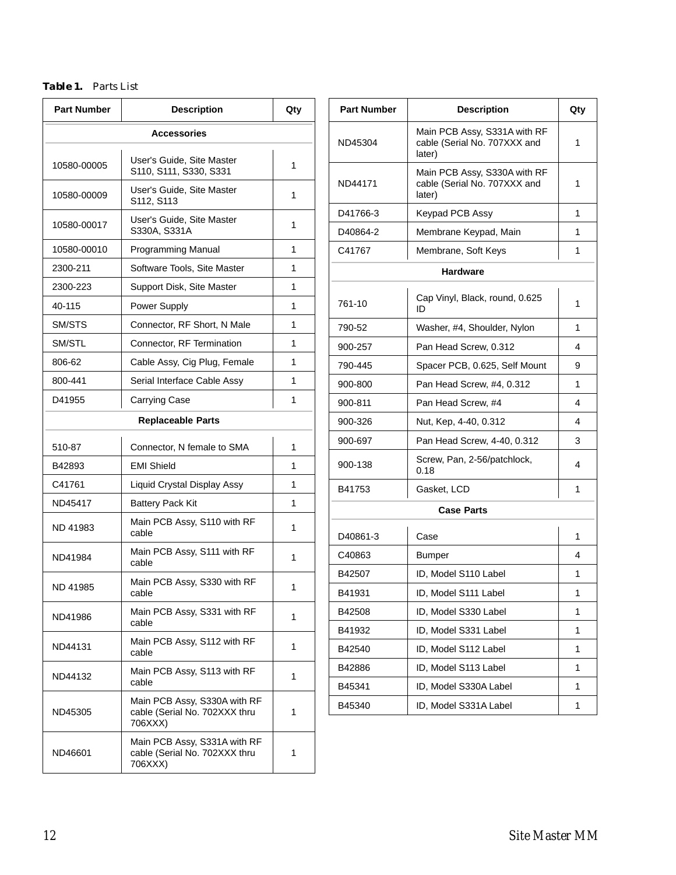# *Table 1. Parts List*

| <b>Part Number</b>       | <b>Description</b>                                                       | Qty |  |
|--------------------------|--------------------------------------------------------------------------|-----|--|
| <b>Accessories</b>       |                                                                          |     |  |
| 10580-00005              | User's Guide, Site Master<br>S110, S111, S330, S331                      | 1   |  |
| 10580-00009              | User's Guide, Site Master<br>S112, S113                                  | 1   |  |
| 10580-00017              | User's Guide, Site Master<br>S330A, S331A                                | 1   |  |
| 10580-00010              | Programming Manual                                                       | 1   |  |
| 2300-211                 | Software Tools, Site Master                                              | 1   |  |
| 2300-223                 | Support Disk, Site Master                                                | 1   |  |
| 40-115                   | <b>Power Supply</b>                                                      | 1   |  |
| SM/STS                   | Connector, RF Short, N Male                                              | 1   |  |
| SM/STL                   | Connector, RF Termination                                                | 1   |  |
| 806-62                   | Cable Assy, Cig Plug, Female                                             | 1   |  |
| 800-441                  | Serial Interface Cable Assy                                              | 1   |  |
| D41955                   | <b>Carrying Case</b>                                                     | 1   |  |
| <b>Replaceable Parts</b> |                                                                          |     |  |
| 510-87                   | Connector, N female to SMA                                               | 1   |  |
| B42893                   | <b>EMI Shield</b>                                                        | 1   |  |
| C41761                   | Liquid Crystal Display Assy                                              | 1   |  |
| ND45417                  | <b>Battery Pack Kit</b>                                                  | 1   |  |
| ND 41983                 | Main PCB Assy, S110 with RF<br>cable                                     | 1   |  |
| ND41984                  | Main PCB Assy, S111 with RF<br>cable                                     | 1   |  |
| ND 41985                 | Main PCB Assy, S330 with RF<br>cable                                     | 1   |  |
| ND41986                  | Main PCB Assy, S331 with RF<br>cable                                     | 1   |  |
| ND44131                  | Main PCB Assy, S112 with RF<br>cable                                     | 1   |  |
| ND44132                  | Main PCB Assy, S113 with RF<br>cable                                     | 1   |  |
| ND45305                  | Main PCB Assy, S330A with RF<br>cable (Serial No. 702XXX thru<br>706XXX) | 1   |  |
| ND46601                  | Main PCB Assy, S331A with RF<br>cable (Serial No. 702XXX thru<br>706XXX) | 1   |  |

| <b>Part Number</b> | <b>Description</b>                                                     | Qty |
|--------------------|------------------------------------------------------------------------|-----|
| ND45304            | Main PCB Assy, S331A with RF<br>cable (Serial No. 707XXX and<br>later) | 1   |
| ND44171            | Main PCB Assy, S330A with RF<br>cable (Serial No. 707XXX and<br>later) | 1   |
| D41766-3           | Keypad PCB Assy                                                        | 1   |
| D40864-2           | Membrane Keypad, Main                                                  | 1   |
| C41767             | Membrane, Soft Keys                                                    | 1   |
|                    | <b>Hardware</b>                                                        |     |
| 761-10             | Cap Vinyl, Black, round, 0.625<br>ID                                   | 1   |
| 790-52             | Washer, #4, Shoulder, Nylon                                            | 1   |
| 900-257            | Pan Head Screw, 0.312                                                  | 4   |
| 790-445            | Spacer PCB, 0.625, Self Mount                                          | 9   |
| 900-800            | Pan Head Screw, #4, 0.312                                              | 1   |
| 900-811            | Pan Head Screw, #4                                                     | 4   |
| 900-326            | Nut, Kep, 4-40, 0.312                                                  | 4   |
| 900-697            | Pan Head Screw, 4-40, 0.312                                            | 3   |
| 900-138            | Screw, Pan, 2-56/patchlock,<br>0.18                                    | 4   |
| B41753             | Gasket, LCD                                                            | 1   |
|                    | <b>Case Parts</b>                                                      |     |
| D40861-3           | Case                                                                   | 1   |
| C40863             | <b>Bumper</b>                                                          | 4   |
| B42507             | ID, Model S110 Label                                                   | 1   |
| B41931             | ID, Model S111 Label                                                   | 1   |
| B42508             | ID, Model S330 Label                                                   | 1   |
| B41932             | ID, Model S331 Label                                                   | 1   |
| B42540             | ID, Model S112 Label                                                   | 1   |
| B42886             | ID, Model S113 Label                                                   | 1   |
| B45341             | ID, Model S330A Label                                                  | 1   |
| B45340             | ID, Model S331A Label                                                  | 1   |
|                    |                                                                        |     |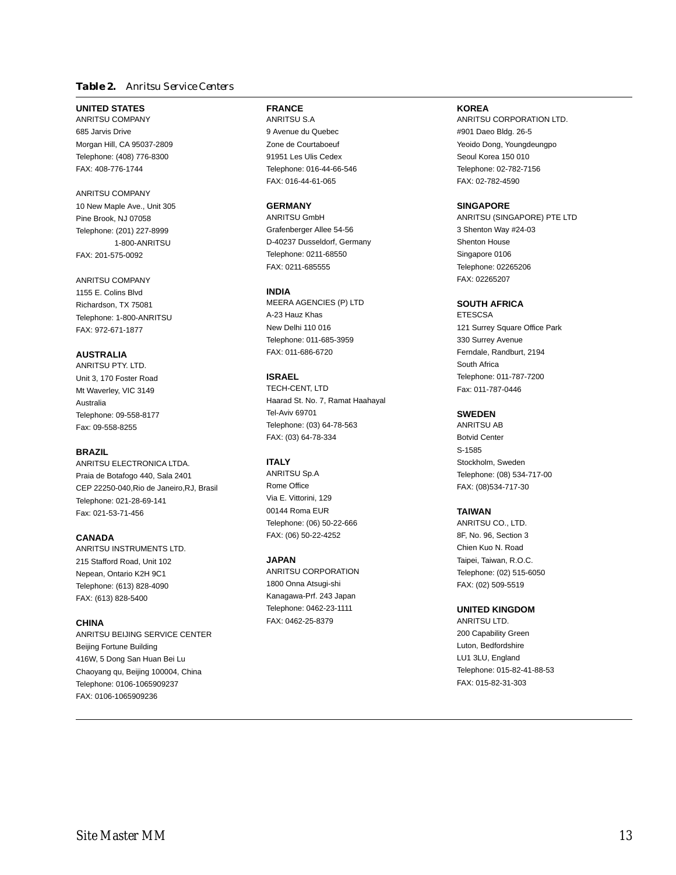### *Table 2. Anritsu Service Centers*

### **UNITED STATES**

ANRITSU COMPANY 685 Jarvis Drive Morgan Hill, CA 95037-2809 Telephone: (408) 776-8300 FAX: 408-776-1744

### ANRITSU COMPANY

10 New Maple Ave., Unit 305 Pine Brook, NJ 07058 Telephone: (201) 227-8999 1-800-ANRITSU FAX: 201-575-0092

### ANRITSU COMPANY 1155 E. Colins Blvd

Richardson, TX 75081 Telephone: 1-800-ANRITSU FAX: 972-671-1877

### **AUSTRALIA**

ANRITSU PTY. LTD. Unit 3, 170 Foster Road Mt Waverley, VIC 3149 Australia Telephone: 09-558-8177 Fax: 09-558-8255

### **BRAZIL**

ANRITSU ELECTRONICA LTDA. Praia de Botafogo 440, Sala 2401 CEP 22250-040,Rio de Janeiro,RJ, Brasil Telephone: 021-28-69-141 Fax: 021-53-71-456

### **CANADA**

ANRITSU INSTRUMENTS LTD. 215 Stafford Road, Unit 102 Nepean, Ontario K2H 9C1 Telephone: (613) 828-4090 FAX: (613) 828-5400

### **CHINA**

ANRITSU BEIJING SERVICE CENTER Beijing Fortune Building 416W, 5 Dong San Huan Bei Lu Chaoyang qu, Beijing 100004, China Telephone: 0106-1065909237 FAX: 0106-1065909236

# **FRANCE**

ANRITSU S.A 9 Avenue du Quebec Zone de Courtaboeuf 91951 Les Ulis Cedex Telephone: 016-44-66-546 FAX: 016-44-61-065

### **GERMANY**

ANRITSU GmbH Grafenberger Allee 54-56 D-40237 Dusseldorf, Germany Telephone: 0211-68550 FAX: 0211-685555

### **INDIA**

MEERA AGENCIES (P) LTD A-23 Hauz Khas New Delhi 110 016 Telephone: 011-685-3959 FAX: 011-686-6720

### **ISRAEL**

TECH-CENT, LTD Haarad St. No. 7, Ramat Haahayal Tel-Aviv 69701 Telephone: (03) 64-78-563 FAX: (03) 64-78-334

### **ITALY**

ANRITSU Sp.A Rome Office Via E. Vittorini, 129 00144 Roma EUR Telephone: (06) 50-22-666 FAX: (06) 50-22-4252

### **JAPAN**

ANRITSU CORPORATION 1800 Onna Atsugi-shi Kanagawa-Prf. 243 Japan Telephone: 0462-23-1111 FAX: 0462-25-8379

### **KOREA**

ANRITSU CORPORATION LTD. #901 Daeo Bldg. 26-5 Yeoido Dong, Youngdeungpo Seoul Korea 150 010 Telephone: 02-782-7156 FAX: 02-782-4590

### **SINGAPORE**

ANRITSU (SINGAPORE) PTE LTD 3 Shenton Way #24-03 Shenton House Singapore 0106 Telephone: 02265206 FAX: 02265207

### **SOUTH AFRICA**

**ETESCSA** 121 Surrey Square Office Park 330 Surrey Avenue Ferndale, Randburt, 2194 South Africa Telephone: 011-787-7200 Fax: 011-787-0446

### **SWEDEN**

ANRITSU AB Botvid Center S-1585 Stockholm, Sweden Telephone: (08) 534-717-00 FAX: (08)534-717-30

### **TAIWAN**

ANRITSU CO., LTD. 8F, No. 96, Section 3 Chien Kuo N. Road Taipei, Taiwan, R.O.C. Telephone: (02) 515-6050 FAX: (02) 509-5519

### **UNITED KINGDOM**

ANRITSU LTD. 200 Capability Green Luton, Bedfordshire LU1 3LU, England Telephone: 015-82-41-88-53 FAX: 015-82-31-303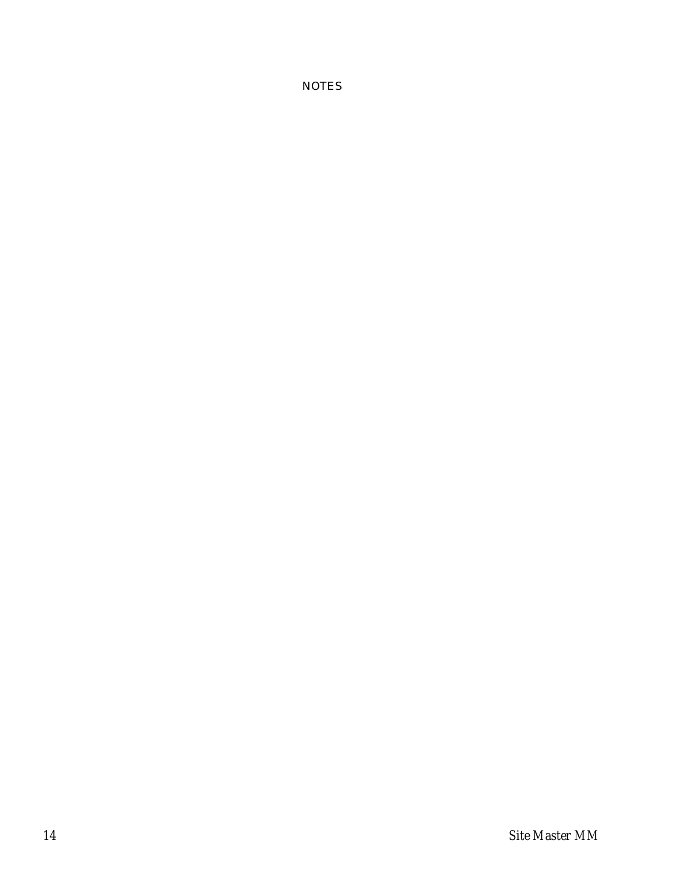**NOTES**